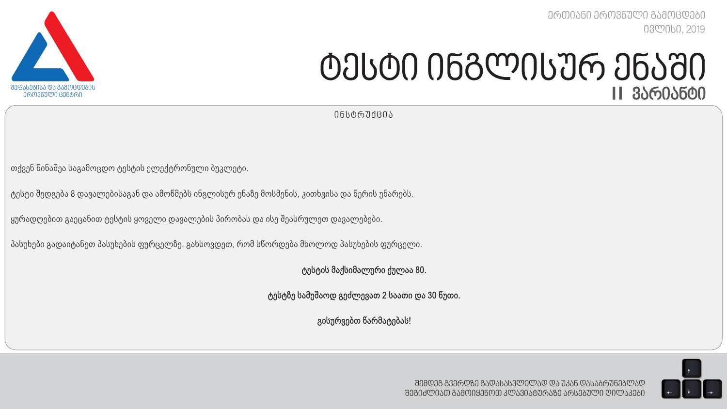*ერთიანი ეროვნული გამოცდები ივლისი, 2019*



# *ტესტი ინგლისურ ენაში I I ვარიანტი*

*ინსტრუქცია*

თქვენ წინაშეა საგამოცდო ტესტის ელექტრონული ბუკლეტი.

ტესტი შედგება 8 დავალებისაგან და ამოწმებს ინგლისურ ენაზე მოსმენის, კითხვისა და წერის უნარებს.

ყურადღებით გაეცანით ტესტის ყოველი დავალების პირობას და ისე შეასრულეთ დავალებები.

პასუხები გადაიტანეთ პასუხების ფურცელზე. გახსოვდეთ, რომ სწორდება მხოლოდ პასუხების ფურცელი.

ტესტის მაქსიმალური ქულაა 80.

ტესტზე სამუშაოდ გეძლევათ 2 საათი და 30 წუთი.

გისურვებთ წარმატებას!

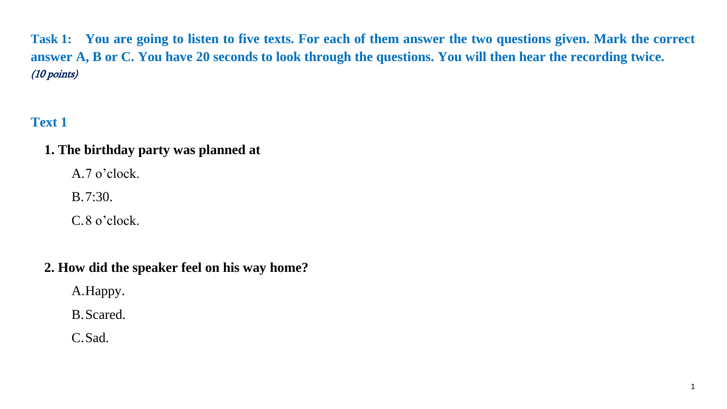**Task 1: You are going to listen to five texts. For each of them answer the two questions given. Mark the correct answer A, B or C. You have 20 seconds to look through the questions. You will then hear the recording twice.**  (10 points)

# **Text 1**

## **1. The birthday party was planned at**

A.7 o'clock.

B.7:30.

C.8 o'clock.

## **2. How did the speaker feel on his way home?**

A.Happy.

B.Scared.

C.Sad.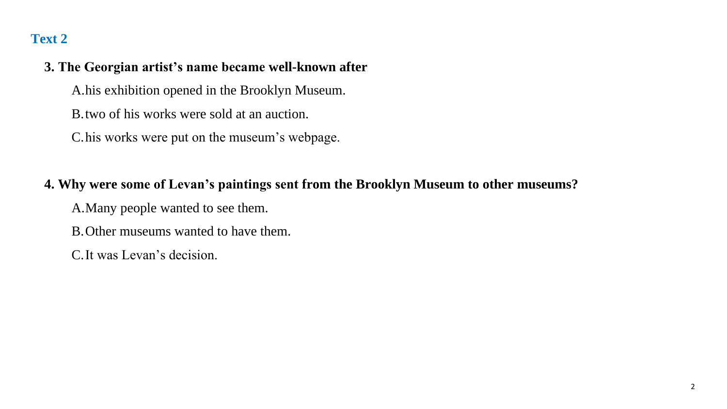## **3. The Georgian artist's name became well-known after**

A.his exhibition opened in the Brooklyn Museum.

B.two of his works were sold at an auction.

C.his works were put on the museum's webpage.

## **4. Why were some of Levan's paintings sent from the Brooklyn Museum to other museums?**

A.Many people wanted to see them.

B.Other museums wanted to have them.

C.It was Levan's decision.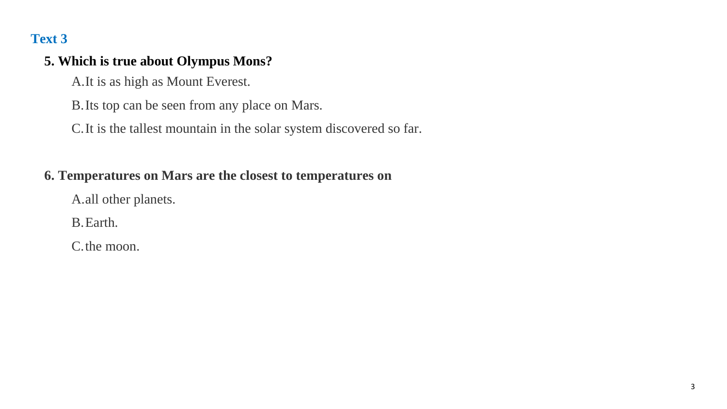## **5. Which is true about Olympus Mons?**

A.It is as high as Mount Everest.

B.Its top can be seen from any place on Mars.

C.It is the tallest mountain in the solar system discovered so far.

## **6. Temperatures on Mars are the closest to temperatures on**

A.all other planets.

B.Earth.

C.the moon.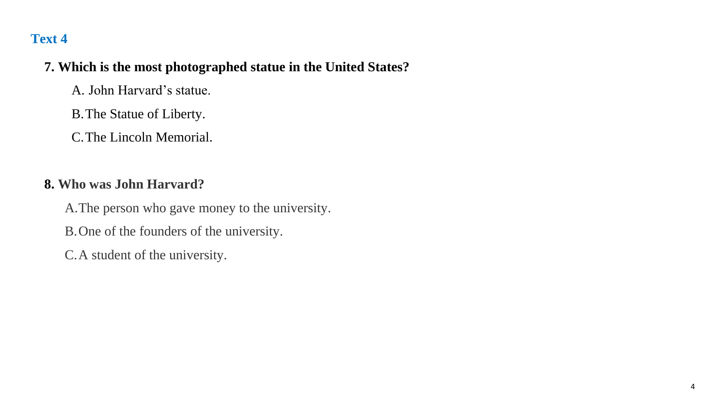#### **7. Which is the most photographed statue in the United States?**

A. John Harvard's statue.

B.The Statue of Liberty.

C.The Lincoln Memorial.

## **8. Who was John Harvard?**

A.The person who gave money to the university.

B.One of the founders of the university.

C.A student of the university.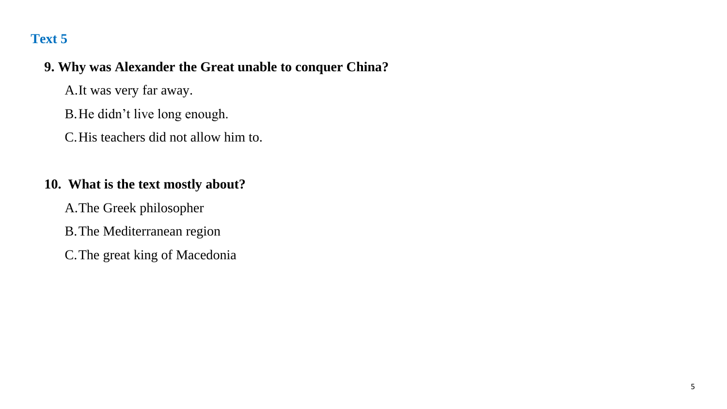## **9. Why was Alexander the Great unable to conquer China?**

A.It was very far away.

B.He didn't live long enough.

C.His teachers did not allow him to.

## **10. What is the text mostly about?**

A.The Greek philosopher

B.The Mediterranean region

C.The great king of Macedonia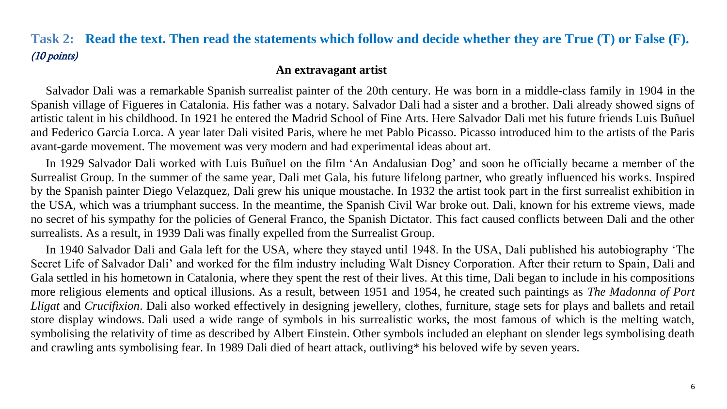## **Task 2: Read the text. Then read the statements which follow and decide whether they are True (T) or False (F).** (10 points)

#### **An extravagant artist**

 Salvador Dali was a remarkable Spanish surrealist painter of the 20th century. He was born in a middle-class family in 1904 in the Spanish village of Figueres in Catalonia. His father was a notary. Salvador Dali had a sister and a brother. Dali already showed signs of artistic talent in his childhood. In 1921 he entered the Madrid School of Fine Arts. Here Salvador Dali met his future friends Luis Buñuel and Federico Garcia Lorca. A year later Dali visited Paris, where he met Pablo Picasso. Picasso introduced him to the artists of the Paris avant-garde movement. The movement was very modern and had experimental ideas about art.

 In 1929 Salvador Dali worked with Luis Buñuel on the film 'An Andalusian Dog' and soon he officially became a member of the Surrealist Group. In the summer of the same year, Dali met Gala, his future lifelong partner, who greatly influenced his works. Inspired by the Spanish painter Diego Velazquez, Dali grew his unique moustache. In 1932 the artist took part in the first surrealist exhibition in the USA, which was a triumphant success. In the meantime, the Spanish Civil War broke out. Dali, known for his extreme views, made no secret of his sympathy for the policies of General Franco, the Spanish Dictator. This fact caused conflicts between Dali and the other surrealists. As a result, in 1939 Dali was finally expelled from the Surrealist Group.

 In 1940 Salvador Dali and Gala left for the USA, where they stayed until 1948. In the USA, Dali published his autobiography 'The Secret Life of Salvador Dali' and worked for the film industry including Walt Disney Corporation. After their return to Spain, Dali and Gala settled in his hometown in Catalonia, where they spent the rest of their lives. At this time, Dali began to include in his compositions more religious elements and optical illusions. As a result, between 1951 and 1954, he created such paintings as *The Madonna of Port Lligat* and *Crucifixion*. Dali also worked effectively in designing jewellery, clothes, furniture, stage sets for plays and ballets and retail store display windows. Dali used a wide range of symbols in his surrealistic works, the most famous of which is the melting watch, symbolising the relativity of time as described by Albert Einstein. Other symbols included an elephant on slender legs symbolising death and crawling ants symbolising fear. In 1989 Dali died of heart attack, outliving\* his beloved wife by seven years.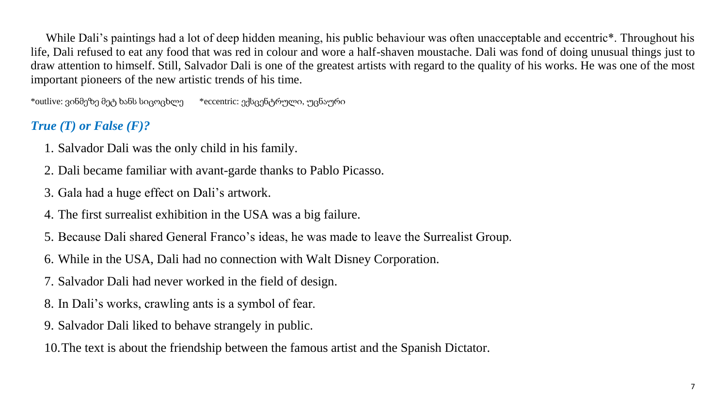While Dali's paintings had a lot of deep hidden meaning, his public behaviour was often unacceptable and eccentric<sup>\*</sup>. Throughout his life, Dali refused to eat any food that was red in colour and wore a half-shaven moustache. Dali was fond of doing unusual things just to draw attention to himself. Still, Salvador Dali is one of the greatest artists with regard to the quality of his works. He was one of the most important pioneers of the new artistic trends of his time.

\*outlive: ვინმეზე მეტ ხანს სიცოცხლე \*eccentric: ექსცენტრული, უცნაური

## *True (T) or False (F)?*

- 1. Salvador Dali was the only child in his family.
- 2. Dali became familiar with avant-garde thanks to Pablo Picasso.
- 3. Gala had a huge effect on Dali's artwork.
- 4. The first surrealist exhibition in the USA was a big failure.
- 5. Because Dali shared General Franco's ideas, he was made to leave the Surrealist Group.
- 6. While in the USA, Dali had no connection with Walt Disney Corporation.
- 7. Salvador Dali had never worked in the field of design.
- 8. In Dali's works, crawling ants is a symbol of fear.
- 9. Salvador Dali liked to behave strangely in public.

10.The text is about the friendship between the famous artist and the Spanish Dictator.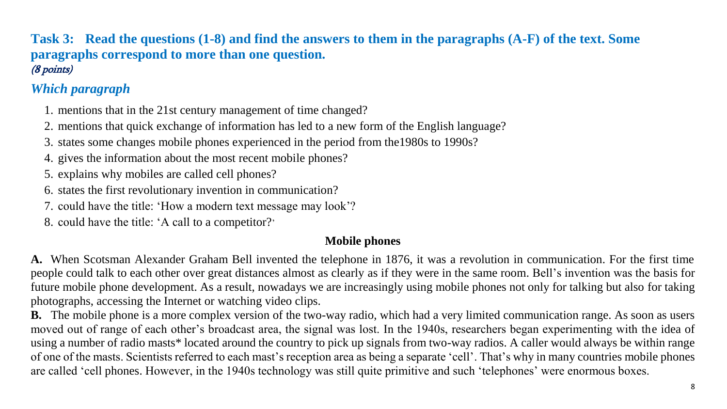#### **Task 3: Read the questions (1-8) and find the answers to them in the paragraphs (A-F) of the text. Some paragraphs correspond to more than one question.**  (8 points)

# *Which paragraph*

- 1. mentions that in the 21st century management of time changed?
- 2. mentions that quick exchange of information has led to a new form of the English language?
- 3. states some changes mobile phones experienced in the period from the1980s to 1990s?
- 4. gives the information about the most recent mobile phones?
- 5. explains why mobiles are called cell phones?
- 6. states the first revolutionary invention in communication?
- 7. could have the title: 'How a modern text message may look'?
- 8. could have the title: 'A call to a competitor?'

#### **Mobile phones**

**A.** When Scotsman Alexander Graham Bell invented the telephone in 1876, it was a revolution in communication. For the first time people could talk to each other over great distances almost as clearly as if they were in the same room. Bell's invention was the basis for future mobile phone development. As a result, nowadays we are increasingly using mobile phones not only for talking but also for taking photographs, accessing the Internet or watching video clips.

**B.** The mobile phone is a more complex version of the two-way radio, which had a very limited communication range. As soon as users moved out of range of each other's broadcast area, the signal was lost. In the 1940s, researchers began experimenting with the idea of using a number of radio masts\* located around the country to pick up signals from two-way radios. A caller would always be within range of one of the masts. Scientists referred to each mast's reception area as being a separate 'cell'. That's why in many countries mobile phones are called 'cell phones. However, in the 1940s technology was still quite primitive and such 'telephones' were enormous boxes.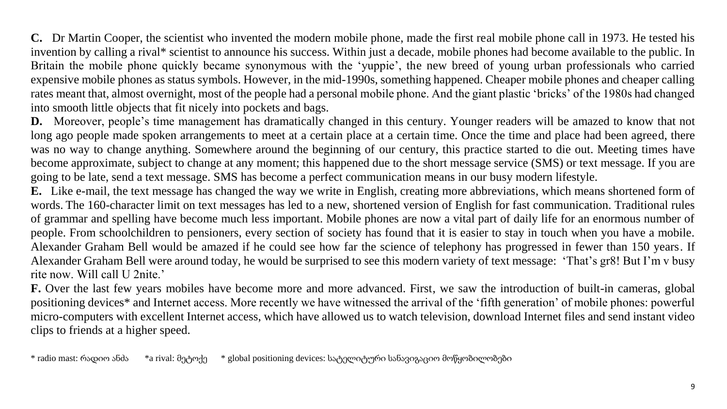**C.** Dr Martin Cooper, the scientist who invented the modern mobile phone, made the first real mobile phone call in 1973. He tested his invention by calling a rival\* scientist to announce his success. Within just a decade, mobile phones had become available to the public. In Britain the mobile phone quickly became synonymous with the 'yuppie', the new breed of young urban professionals who carried expensive mobile phones as status symbols. However, in the mid-1990s, something happened. Cheaper mobile phones and cheaper calling rates meant that, almost overnight, most of the people had a personal mobile phone. And the giant plastic 'bricks' of the 1980s had changed into smooth little objects that fit nicely into pockets and bags.

**D.** Moreover, people's time management has dramatically changed in this century. Younger readers will be amazed to know that not long ago people made spoken arrangements to meet at a certain place at a certain time. Once the time and place had been agreed, there was no way to change anything. Somewhere around the beginning of our century, this practice started to die out. Meeting times have become approximate, subject to change at any moment; this happened due to the short message service (SMS) or text message. If you are going to be late, send a text message. SMS has become a perfect communication means in our busy modern lifestyle.

**E.** Like e-mail, the text message has changed the way we write in English, creating more abbreviations, which means shortened form of words. The 160-character limit on text messages has led to a new, shortened version of English for fast communication. Traditional rules of grammar and spelling have become much less important. Mobile phones are now a vital part of daily life for an enormous number of people. From schoolchildren to pensioners, every section of society has found that it is easier to stay in touch when you have a mobile. Alexander Graham Bell would be amazed if he could see how far the science of telephony has progressed in fewer than 150 years. If Alexander Graham Bell were around today, he would be surprised to see this modern variety of text message: 'That's gr8! But I'm v busy rite now. Will call U 2nite.'

**F.** Over the last few years mobiles have become more and more advanced. First, we saw the introduction of built-in cameras, global positioning devices\* and Internet access. More recently we have witnessed the arrival of the 'fifth generation' of mobile phones: powerful micro-computers with excellent Internet access, which have allowed us to watch television, download Internet files and send instant video clips to friends at a higher speed.

\* radio mast: რადიო ანძა \*a rival: მეტოქე \* global positioning devices: სატელიტური სანავიგაციო მოწყობილობები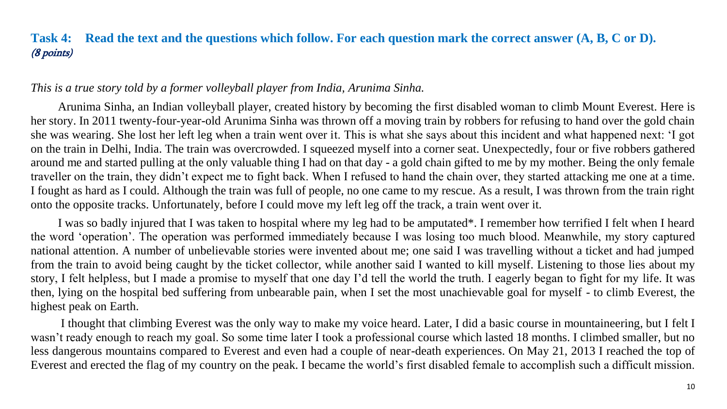## **Task 4: Read the text and the questions which follow. For each question mark the correct answer (A, B, C or D).** (8 points)

#### <span id="page-10-0"></span>*This is a true story told by a former volleyball player from India, Arunima Sinha.*

Arunima Sinha, an Indian volleyball player, created history by becoming the first disabled woman to climb Mount Everest. Here is her story. In 2011 twenty-four-year-old Arunima Sinha was thrown off a moving train by robbers for refusing to hand over the gold chain she was wearing. She lost her left leg when a train went over it. This is what she says about this incident and what happened next: 'I got on the train in Delhi, India. The train was overcrowded. I squeezed myself into a corner seat. Unexpectedly, four or five robbers gathered around me and started pulling at the only valuable thing I had on that day - a gold chain gifted to me by my mother. Being the only female traveller on the train, they didn't expect me to fight back. When I refused to hand the chain over, they started attacking me one at a time. I fought as hard as I could. Although the train was full of people, no one came to my rescue. As a result, I was thrown from the train right onto the opposite tracks. Unfortunately, before I could move my left leg off the track, a train went over it.

I was so badly injured that I was taken to hospital where my leg had to be amputated\*. I remember how terrified I felt when I heard the word 'operation'. The operation was performed immediately because I was losing too much blood. Meanwhile, my story captured national attention. A number of unbelievable stories were invented about me; one said I was travelling without a ticket and had jumped from the train to avoid being caught by the ticket collector, while another said I wanted to kill myself. Listening to those lies about my story, I felt helpless, but I made a promise to myself that one day I'd tell the world the truth. I eagerly began to fight for my life. It was then, lying on the hospital bed suffering from unbearable pain, when I set the most unachievable goal for myself - to climb Everest, the highest peak on Earth.

I thought that climbing Everest was the only way to make my voice heard. Later, I did a basic course in mountaineering, but I felt I wasn't ready enough to reach my goal. So some time later I took a professional course which lasted 18 months. I climbed smaller, but no less dangerous mountains compared to Everest and even had a couple of near-death experiences. On May 21, 2013 I reached the top of Everest and erected the flag of my country on the peak. I became the world's first disabled female to accomplish such a difficult mission.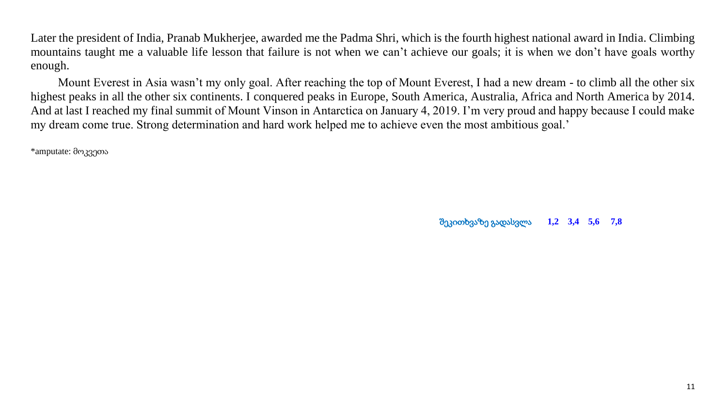Later the president of India, Pranab Mukherjee, awarded me the Padma Shri, which is the fourth highest national award in India. Climbing mountains taught me a valuable life lesson that failure is not when we can't achieve our goals; it is when we don't have goals worthy enough.

Mount Everest in Asia wasn't my only goal. After reaching the top of Mount Everest, I had a new dream - to climb all the other six highest peaks in all the other six continents. I conquered peaks in Europe, South America, Australia, Africa and North America by 2014. And at last I reached my final summit of Mount Vinson in Antarctica on January 4, 2019. I'm very proud and happy because I could make my dream come true. Strong determination and hard work helped me to achieve even the most ambitious goal.'

\*amputate: მოკვეთა

შეკითხვაზე გადასვლა **[1,2](#page-12-0) [3,4](#page-13-0) [5,6](#page-14-0) [7,8](#page-15-0)**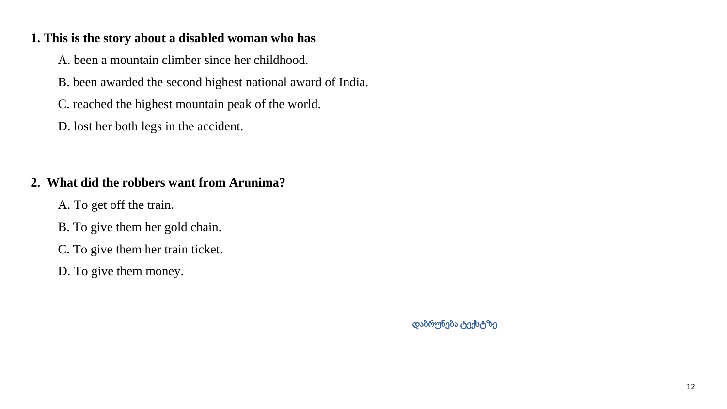#### <span id="page-12-0"></span>**1. This is the story about a disabled woman who has**

A. been a mountain climber since her childhood.

B. been awarded the second highest national award of India.

C. reached the highest mountain peak of the world.

D. lost her both legs in the accident.

## **2. What did the robbers want from Arunima?**

- A. To get off the train.
- B. To give them her gold chain.
- C. To give them her train ticket.
- D. To give them money.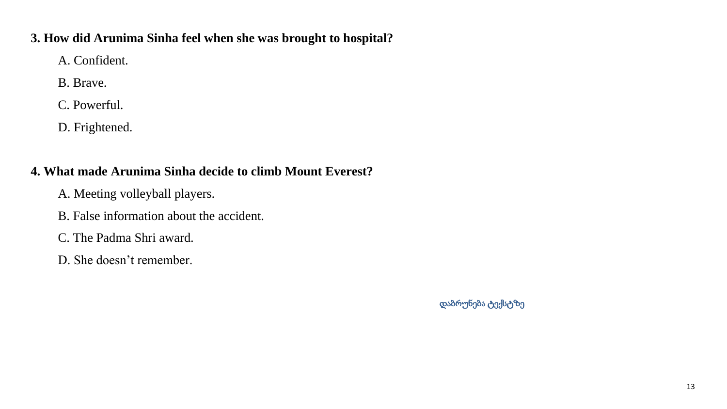#### <span id="page-13-0"></span>**3. How did Arunima Sinha feel when she was brought to hospital?**

A. Confident.

B. Brave.

C. Powerful.

D. Frightened.

## **4. What made Arunima Sinha decide to climb Mount Everest?**

- A. Meeting volleyball players.
- B. False information about the accident.
- C. The Padma Shri award.
- D. She doesn't remember.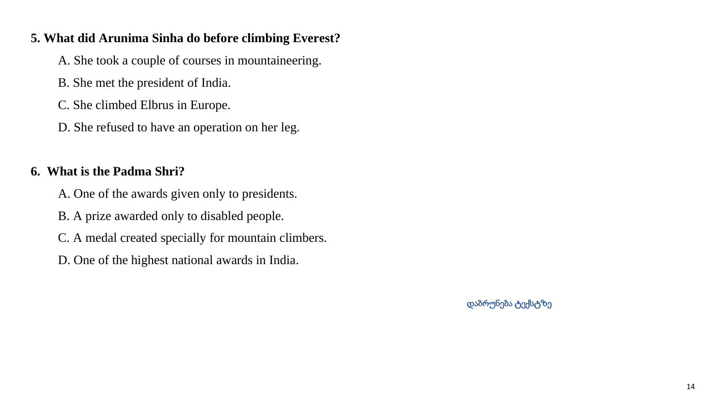#### <span id="page-14-0"></span>**5. What did Arunima Sinha do before climbing Everest?**

- A. She took a couple of courses in mountaineering.
- B. She met the president of India.
- C. She climbed Elbrus in Europe.
- D. She refused to have an operation on her leg.

## **6. What is the Padma Shri?**

- A. One of the awards given only to presidents.
- B. A prize awarded only to disabled people.
- C. A medal created specially for mountain climbers.
- D. One of the highest national awards in India.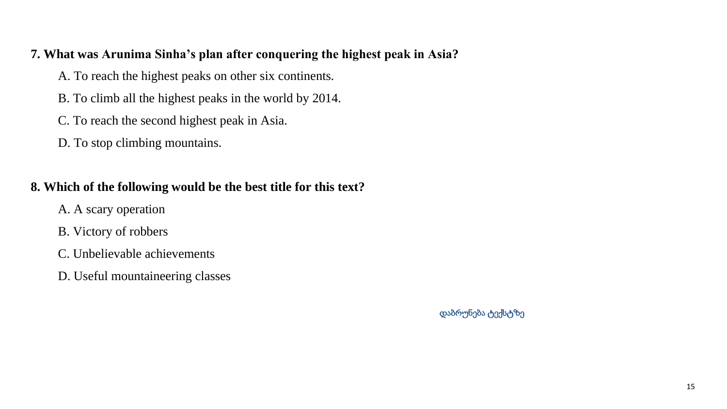#### <span id="page-15-0"></span>**7. What was Arunima Sinha's plan after conquering the highest peak in Asia?**

- A. To reach the highest peaks on other six continents.
- B. To climb all the highest peaks in the world by 2014.
- C. To reach the second highest peak in Asia.
- D. To stop climbing mountains.

## **8. Which of the following would be the best title for this text?**

- A. A scary operation
- B. Victory of robbers
- C. Unbelievable achievements
- D. Useful mountaineering classes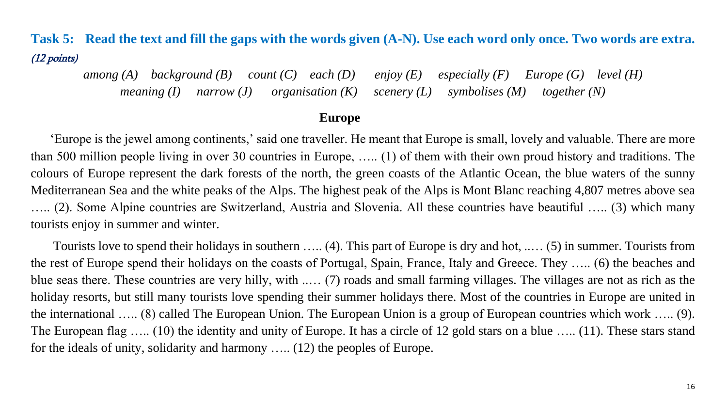## **Task 5: Read the text and fill the gaps with the words given (A-N). Use each word only once. Two words are extra.** (12 points)

*among (A) background (B) count (C) each (D) enjoy (E) especially (F) Europe (G) level (H) meaning (I) narrow (J) organisation (K) scenery (L) symbolises (M) together (N)*

#### **Europe**

 'Europe is the jewel among continents,' said one traveller. He meant that Europe is small, lovely and valuable. There are more than 500 million people living in over 30 countries in Europe, ….. (1) of them with their own proud history and traditions. The colours of Europe represent the dark forests of the north, the green coasts of the Atlantic Ocean, the blue waters of the sunny Mediterranean Sea and the white peaks of the Alps. The highest peak of the Alps is Mont Blanc reaching 4,807 metres above sea ….. (2). Some Alpine countries are Switzerland, Austria and Slovenia. All these countries have beautiful ….. (3) which many tourists enjoy in summer and winter.

 Tourists love to spend their holidays in southern ….. (4). This part of Europe is dry and hot, ..… (5) in summer. Tourists from the rest of Europe spend their holidays on the coasts of Portugal, Spain, France, Italy and Greece. They ….. (6) the beaches and blue seas there. These countries are very hilly, with ..… (7) roads and small farming villages. The villages are not as rich as the holiday resorts, but still many tourists love spending their summer holidays there. Most of the countries in Europe are united in the international ….. (8) called The European Union. The European Union is a group of European countries which work ….. (9). The European flag ….. (10) the identity and unity of Europe. It has a circle of 12 gold stars on a blue ….. (11). These stars stand for the ideals of unity, solidarity and harmony ….. (12) the peoples of Europe.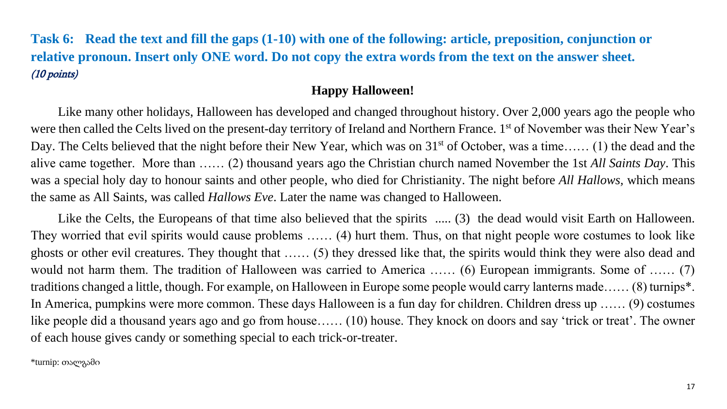**Task 6: Read the text and fill the gaps (1-10) with one of the following: article, preposition, conjunction or relative pronoun. Insert only ONE word. Do not copy the extra words from the text on the answer sheet.** (10 points)

#### **Happy Halloween!**

Like many other holidays, Halloween has developed and changed throughout history. Over 2,000 years ago the people who were then called the Celts lived on the present-day territory of Ireland and Northern France. 1<sup>st</sup> of November was their New Year's Day. The Celts believed that the night before their New Year, which was on 31<sup>st</sup> of October, was a time…… (1) the dead and the alive came together. More than …… (2) thousand years ago the Christian church named November the 1st *All Saints Day*. This was a special holy day to honour saints and other people, who died for Christianity. The night before *All Hallows,* which means the same as All Saints, was called *Hallows Eve*. Later the name was changed to Halloween.

Like the Celts, the Europeans of that time also believed that the spirits ..... (3) the dead would visit Earth on Halloween. They worried that evil spirits would cause problems …… (4) hurt them. Thus, on that night people wore costumes to look like ghosts or other evil creatures. They thought that …… (5) they dressed like that, the spirits would think they were also dead and would not harm them. The tradition of Halloween was carried to America …… (6) European immigrants. Some of …… (7) traditions changed a little, though. For example, on Halloween in Europe some people would carry lanterns made…… (8) turnips\*. In America, pumpkins were more common. These days Halloween is a fun day for children. Children dress up …… (9) costumes like people did a thousand years ago and go from house…… (10) house. They knock on doors and say 'trick or treat'. The owner of each house gives candy or something special to each trick-or-treater.

\*turnip: თალგამი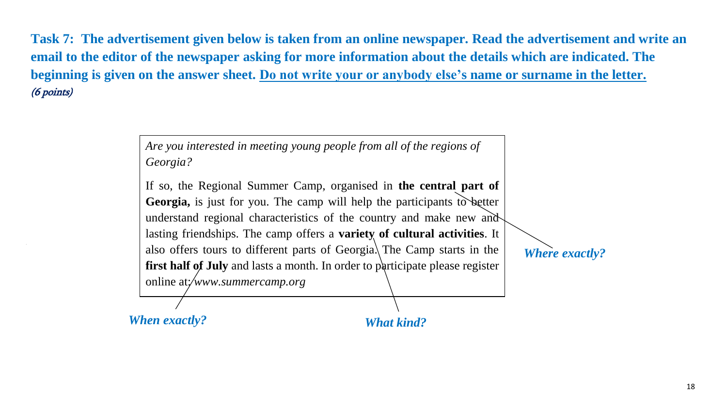**Task 7: The advertisement given below is taken from an online newspaper. Read the advertisement and write an email to the editor of the newspaper asking for more information about the details which are indicated. The beginning is given on the answer sheet. Do not write your or anybody else's name or surname in the letter.** (6 points)

> *Are you interested in meeting young people from all of the regions of Georgia?*

If so, the Regional Summer Camp, organised in **the central part of Georgia,** is just for you. The camp will help the participants to better understand regional characteristics of the country and make new and lasting friendships. The camp offers a **variety of cultural activities**. It also offers tours to different parts of Georgia. The Camp starts in the **first half of July** and lasts a month. In order to participate please register online at:/www.summercamp.org

*Where exactly?*

*When exactly? What kind?*